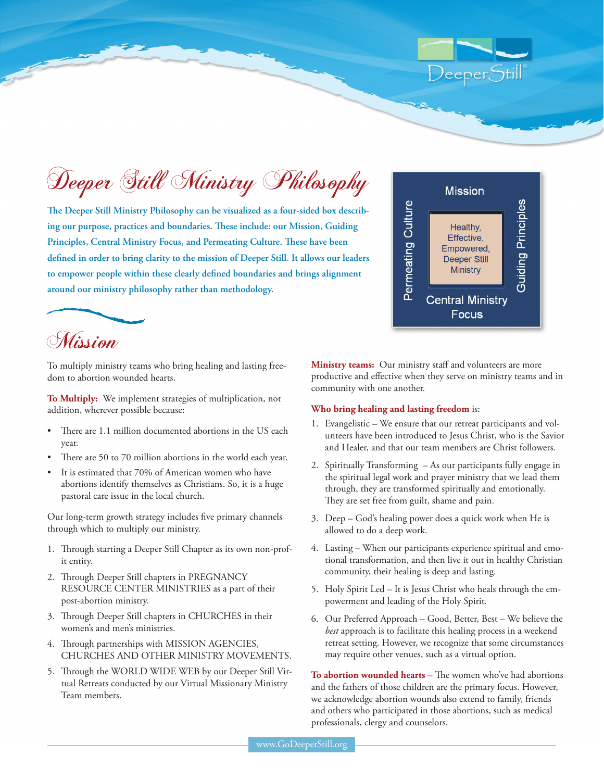Deeper Still Ministry Philosophy

**The Deeper Still Ministry Philosophy can be visualized as a four-sided box describing our purpose, practices and boundaries. These include: our Mission, Guiding Principles, Central Ministry Focus, and Permeating Culture. These have been defined in order to bring clarity to the mission of Deeper Still. It allows our leaders to empower people within these clearly defined boundaries and brings alignment around our ministry philosophy rather than methodology.**



DeeperStill



To multiply ministry teams who bring healing and lasting freedom to abortion wounded hearts.

**To Multiply:** We implement strategies of multiplication, not addition, wherever possible because:

- There are 1.1 million documented abortions in the US each year.
- There are 50 to 70 million abortions in the world each year.
- It is estimated that 70% of American women who have abortions identify themselves as Christians. So, it is a huge pastoral care issue in the local church.

Our long-term growth strategy includes five primary channels through which to multiply our ministry.

- 1. Through starting a Deeper Still Chapter as its own non-profit entity.
- 2. Through Deeper Still chapters in PREGNANCY RESOURCE CENTER MINISTRIES as a part of their post-abortion ministry.
- 3. Through Deeper Still chapters in CHURCHES in their women's and men's ministries.
- 4. Through partnerships with MISSION AGENCIES, CHURCHES AND OTHER MINISTRY MOVEMENTS.
- 5. Through the WORLD WIDE WEB by our Deeper Still Virtual Retreats conducted by our Virtual Missionary Ministry Team members.

**Ministry teams:** Our ministry staff and volunteers are more productive and effective when they serve on ministry teams and in community with one another.

#### **Who bring healing and lasting freedom** is:

- 1. Evangelistic We ensure that our retreat participants and volunteers have been introduced to Jesus Christ, who is the Savior and Healer, and that our team members are Christ followers.
- 2. Spiritually Transforming As our participants fully engage in the spiritual legal work and prayer ministry that we lead them through, they are transformed spiritually and emotionally. They are set free from guilt, shame and pain.
- 3. Deep God's healing power does a quick work when He is allowed to do a deep work.
- 4. Lasting When our participants experience spiritual and emotional transformation, and then live it out in healthy Christian community, their healing is deep and lasting.
- 5. Holy Spirit Led It is Jesus Christ who heals through the empowerment and leading of the Holy Spirit.
- 6. Our Preferred Approach Good, Better, Best We believe the *best* approach is to facilitate this healing process in a weekend retreat setting. However, we recognize that some circumstances may require other venues, such as a virtual option.

**To abortion wounded hearts** – The women who've had abortions and the fathers of those children are the primary focus. However, we acknowledge abortion wounds also extend to family, friends and others who participated in those abortions, such as medical professionals, clergy and counselors.